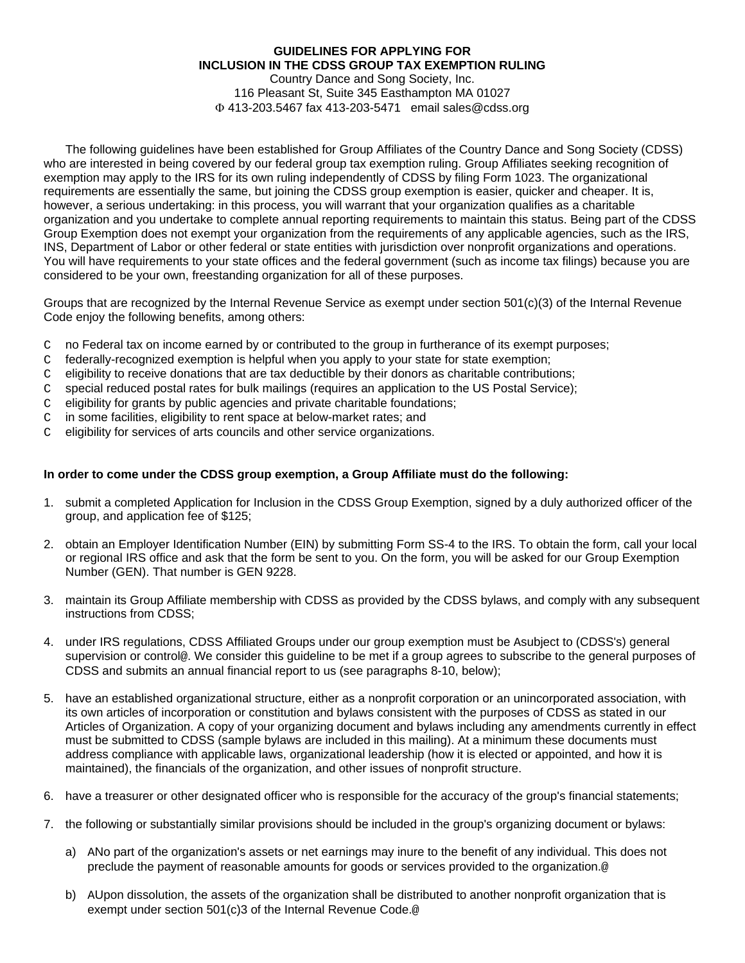## **GUIDELINES FOR APPLYING FOR INCLUSION IN THE CDSS GROUP TAX EXEMPTION RULING**

 Country Dance and Song Society, Inc. 116 Pleasant St, Suite 345 Easthampton MA 01027 413-203.5467 fax 413-203-5471 email sales@cdss.org

The following guidelines have been established for Group Affiliates of the Country Dance and Song Society (CDSS) who are interested in being covered by our federal group tax exemption ruling. Group Affiliates seeking recognition of exemption may apply to the IRS for its own ruling independently of CDSS by filing Form 1023. The organizational requirements are essentially the same, but joining the CDSS group exemption is easier, quicker and cheaper. It is, however, a serious undertaking: in this process, you will warrant that your organization qualifies as a charitable organization and you undertake to complete annual reporting requirements to maintain this status. Being part of the CDSS Group Exemption does not exempt your organization from the requirements of any applicable agencies, such as the IRS, INS, Department of Labor or other federal or state entities with jurisdiction over nonprofit organizations and operations. You will have requirements to your state offices and the federal government (such as income tax filings) because you are considered to be your own, freestanding organization for all of these purposes.

Groups that are recognized by the Internal Revenue Service as exempt under section 501(c)(3) of the Internal Revenue Code enjoy the following benefits, among others:

- C no Federal tax on income earned by or contributed to the group in furtherance of its exempt purposes;
- C federally-recognized exemption is helpful when you apply to your state for state exemption;
- C eligibility to receive donations that are tax deductible by their donors as charitable contributions;
- C special reduced postal rates for bulk mailings (requires an application to the US Postal Service);
- C eligibility for grants by public agencies and private charitable foundations;
- C in some facilities, eligibility to rent space at below-market rates; and
- C eligibility for services of arts councils and other service organizations.

## **In order to come under the CDSS group exemption, a Group Affiliate must do the following:**

- 1. submit a completed Application for Inclusion in the CDSS Group Exemption, signed by a duly authorized officer of the group, and application fee of \$125;
- 2. obtain an Employer Identification Number (EIN) by submitting Form SS-4 to the IRS. To obtain the form, call your local or regional IRS office and ask that the form be sent to you. On the form, you will be asked for our Group Exemption Number (GEN). That number is GEN 9228.
- 3. maintain its Group Affiliate membership with CDSS as provided by the CDSS bylaws, and comply with any subsequent instructions from CDSS;
- 4. under IRS regulations, CDSS Affiliated Groups under our group exemption must be Asubject to (CDSS's) general supervision or control@. We consider this guideline to be met if a group agrees to subscribe to the general purposes of CDSS and submits an annual financial report to us (see paragraphs 8-10, below);
- 5. have an established organizational structure, either as a nonprofit corporation or an unincorporated association, with its own articles of incorporation or constitution and bylaws consistent with the purposes of CDSS as stated in our Articles of Organization. A copy of your organizing document and bylaws including any amendments currently in effect must be submitted to CDSS (sample bylaws are included in this mailing). At a minimum these documents must address compliance with applicable laws, organizational leadership (how it is elected or appointed, and how it is maintained), the financials of the organization, and other issues of nonprofit structure.
- 6. have a treasurer or other designated officer who is responsible for the accuracy of the group's financial statements;
- 7. the following or substantially similar provisions should be included in the group's organizing document or bylaws:
	- a) ANo part of the organization's assets or net earnings may inure to the benefit of any individual. This does not preclude the payment of reasonable amounts for goods or services provided to the organization.@
	- b) AUpon dissolution, the assets of the organization shall be distributed to another nonprofit organization that is exempt under section 501(c)3 of the Internal Revenue Code.@